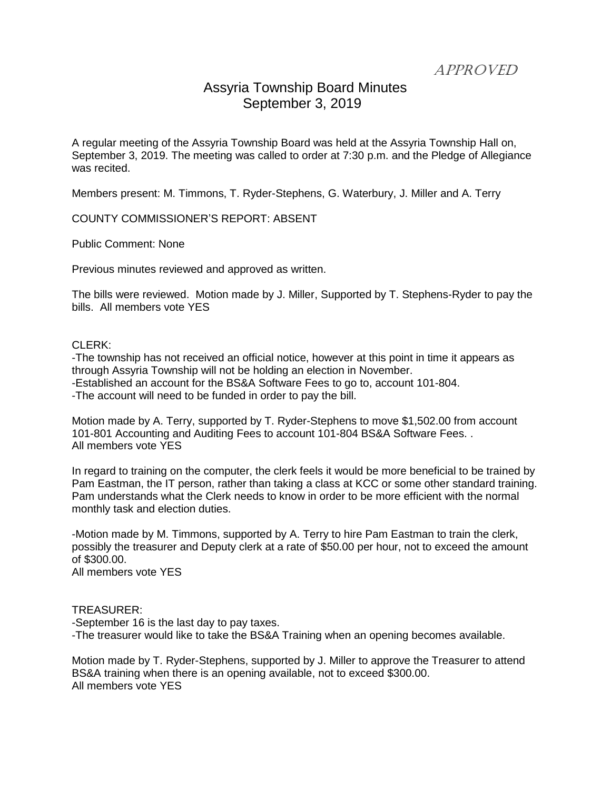APPROVED

## Assyria Township Board Minutes September 3, 2019

A regular meeting of the Assyria Township Board was held at the Assyria Township Hall on, September 3, 2019. The meeting was called to order at 7:30 p.m. and the Pledge of Allegiance was recited.

Members present: M. Timmons, T. Ryder-Stephens, G. Waterbury, J. Miller and A. Terry

COUNTY COMMISSIONER'S REPORT: ABSENT

Public Comment: None

Previous minutes reviewed and approved as written.

The bills were reviewed. Motion made by J. Miller, Supported by T. Stephens-Ryder to pay the bills. All members vote YES

## CLERK:

-The township has not received an official notice, however at this point in time it appears as through Assyria Township will not be holding an election in November. -Established an account for the BS&A Software Fees to go to, account 101-804. -The account will need to be funded in order to pay the bill.

Motion made by A. Terry, supported by T. Ryder-Stephens to move \$1,502.00 from account 101-801 Accounting and Auditing Fees to account 101-804 BS&A Software Fees. . All members vote YES

In regard to training on the computer, the clerk feels it would be more beneficial to be trained by Pam Eastman, the IT person, rather than taking a class at KCC or some other standard training. Pam understands what the Clerk needs to know in order to be more efficient with the normal monthly task and election duties.

-Motion made by M. Timmons, supported by A. Terry to hire Pam Eastman to train the clerk, possibly the treasurer and Deputy clerk at a rate of \$50.00 per hour, not to exceed the amount of \$300.00.

All members vote YES

## TREASURER:

-September 16 is the last day to pay taxes. -The treasurer would like to take the BS&A Training when an opening becomes available.

Motion made by T. Ryder-Stephens, supported by J. Miller to approve the Treasurer to attend BS&A training when there is an opening available, not to exceed \$300.00. All members vote YES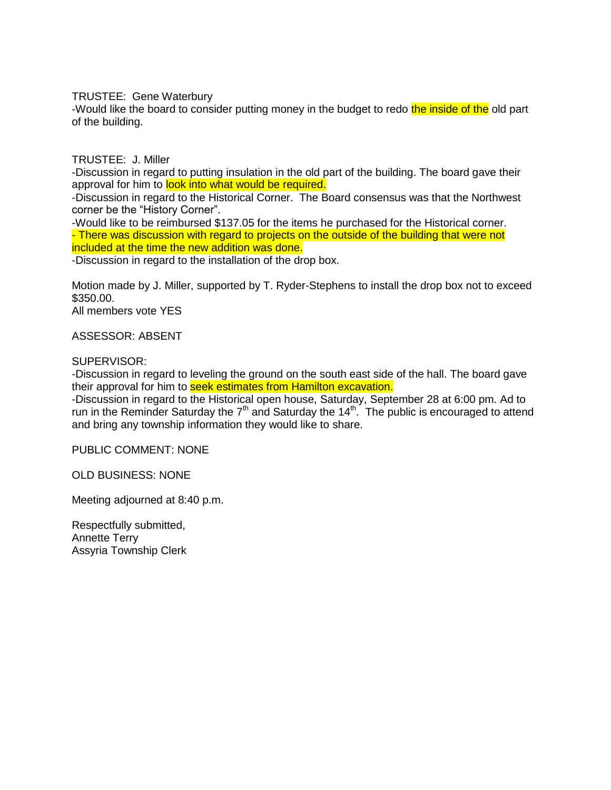TRUSTEE: Gene Waterbury

-Would like the board to consider putting money in the budget to redo the inside of the old part of the building.

TRUSTEE: J. Miller

-Discussion in regard to putting insulation in the old part of the building. The board gave their approval for him to look into what would be required.

-Discussion in regard to the Historical Corner. The Board consensus was that the Northwest corner be the "History Corner".

-Would like to be reimbursed \$137.05 for the items he purchased for the Historical corner. - There was discussion with regard to projects on the outside of the building that were not included at the time the new addition was done.

-Discussion in regard to the installation of the drop box.

Motion made by J. Miller, supported by T. Ryder-Stephens to install the drop box not to exceed \$350.00.

All members vote YES

ASSESSOR: ABSENT

SUPERVISOR:

-Discussion in regard to leveling the ground on the south east side of the hall. The board gave their approval for him to **seek estimates from Hamilton excavation.** 

-Discussion in regard to the Historical open house, Saturday, September 28 at 6:00 pm. Ad to run in the Reminder Saturday the  $7<sup>th</sup>$  and Saturday the 14<sup>th</sup>. The public is encouraged to attend and bring any township information they would like to share.

PUBLIC COMMENT: NONE

OLD BUSINESS: NONE

Meeting adjourned at 8:40 p.m.

Respectfully submitted, Annette Terry Assyria Township Clerk